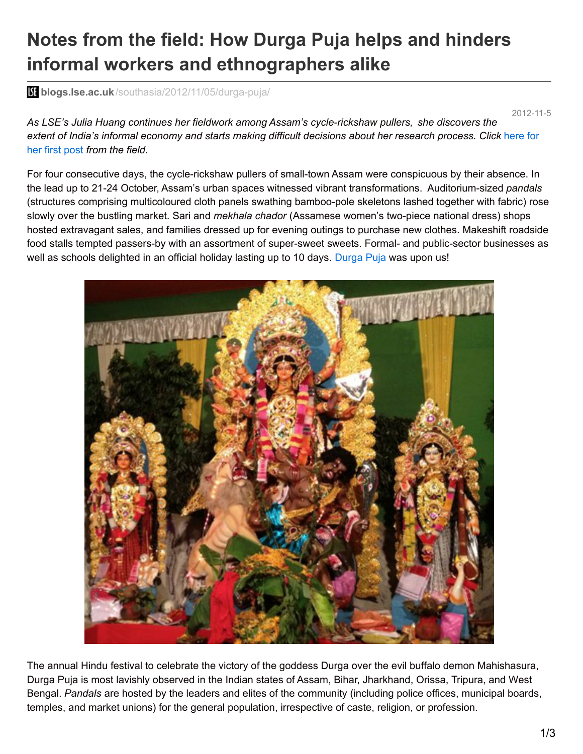## **Notes from the field: How Durga Puja helps and hinders informal workers and ethnographers alike**

**blogs.lse.ac.uk**[/southasia/2012/11/05/durga-puja/](http://blogs.lse.ac.uk/southasia/2012/11/05/durga-puja/)

2012-11-5

*As LSE's Julia Huang continues her fieldwork among Assam's cycle-rickshaw pullers, she discovers the extent of India's informal economy and starts making difficult [decisions](http://blogs.lse.ac.uk/southasia/2012/09/12/notes-from-the-field-social-entrepreneurship-and-urban-livelihoods-in-assam/) about her research process. Click* here for her first post *from the field.*

For four consecutive days, the cycle-rickshaw pullers of small-town Assam were conspicuous by their absence. In the lead up to 21-24 October, Assam's urban spaces witnessed vibrant transformations. Auditorium-sized *pandals* (structures comprising multicoloured cloth panels swathing bamboo-pole skeletons lashed together with fabric) rose slowly over the bustling market. Sari and *mekhala chador* (Assamese women's two-piece national dress) shops hosted extravagant sales, and families dressed up for evening outings to purchase new clothes. Makeshift roadside food stalls tempted passers-by with an assortment of super-sweet sweets. Formal- and public-sector businesses as well as schools delighted in an official holiday lasting up to 10 days. [Durga](http://online.assam.gov.in/web/durga-puja) Puja was upon us!



The annual Hindu festival to celebrate the victory of the goddess Durga over the evil buffalo demon Mahishasura, Durga Puja is most lavishly observed in the Indian states of Assam, Bihar, Jharkhand, Orissa, Tripura, and West Bengal. *Pandals* are hosted by the leaders and elites of the community (including police offices, municipal boards, temples, and market unions) for the general population, irrespective of caste, religion, or profession.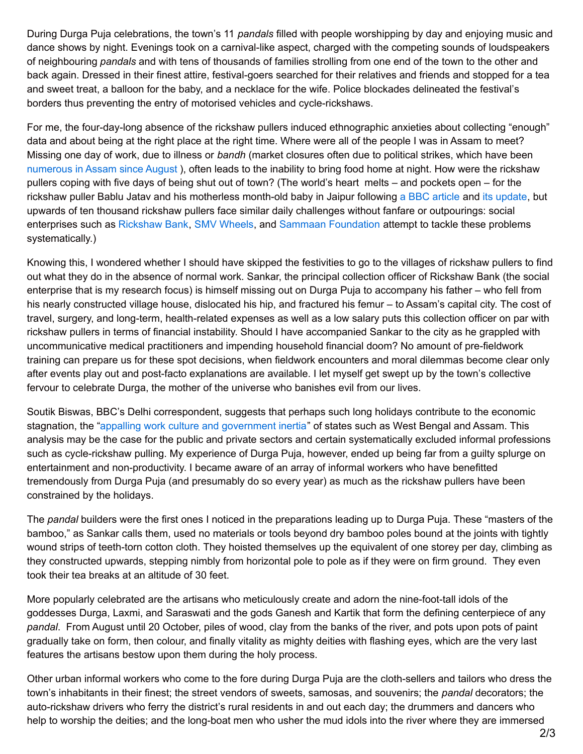During Durga Puja celebrations, the town's 11 *pandals* filled with people worshipping by day and enjoying music and dance shows by night. Evenings took on a carnival-like aspect, charged with the competing sounds of loudspeakers of neighbouring *pandals* and with tens of thousands of families strolling from one end of the town to the other and back again. Dressed in their finest attire, festival-goers searched for their relatives and friends and stopped for a tea and sweet treat, a balloon for the baby, and a necklace for the wife. Police blockades delineated the festival's borders thus preventing the entry of motorised vehicles and cycle-rickshaws.

For me, the four-day-long absence of the rickshaw pullers induced ethnographic anxieties about collecting "enough" data and about being at the right place at the right time. Where were all of the people I was in Assam to meet? Missing one day of work, due to illness or *bandh* (market closures often due to political strikes, which have been [numerous](http://articles.timesofindia.indiatimes.com/2012-08-30/india/33498359_1_bandhs-koch-rajbongshi-students-union-ana-boro-suraksha-samity) in Assam since August ), often leads to the inability to bring food home at night. How were the rickshaw pullers coping with five days of being shut out of town? (The world's heart melts – and pockets open – for the rickshaw puller Bablu Jatav and his motherless month-old baby in Jaipur following a BBC [article](http://www.bbc.co.uk/news/world-asia-india-20000997) and its [update](http://www.bbc.co.uk/news/world-asia-india-20024686), but upwards of ten thousand rickshaw pullers face similar daily challenges without fanfare or outpourings: social enterprises such as [Rickshaw](http://www.crdev.org/rb.asp) Bank, SMV [Wheels](http://www.smvwheels.com/), and Sammaan [Foundation](http://www.sammaan.org/) attempt to tackle these problems systematically.)

Knowing this, I wondered whether I should have skipped the festivities to go to the villages of rickshaw pullers to find out what they do in the absence of normal work. Sankar, the principal collection officer of Rickshaw Bank (the social enterprise that is my research focus) is himself missing out on Durga Puja to accompany his father – who fell from his nearly constructed village house, dislocated his hip, and fractured his femur – to Assam's capital city. The cost of travel, surgery, and long-term, health-related expenses as well as a low salary puts this collection officer on par with rickshaw pullers in terms of financial instability. Should I have accompanied Sankar to the city as he grappled with uncommunicative medical practitioners and impending household financial doom? No amount of pre-fieldwork training can prepare us for these spot decisions, when fieldwork encounters and moral dilemmas become clear only after events play out and post-facto explanations are available. I let myself get swept up by the town's collective fervour to celebrate Durga, the mother of the universe who banishes evil from our lives.

Soutik Biswas, BBC's Delhi correspondent, suggests that perhaps such long holidays contribute to the economic stagnation, the "appalling work culture and [government](http://www.bbc.co.uk/news/world-asia-india-20000565) inertia" of states such as West Bengal and Assam. This analysis may be the case for the public and private sectors and certain systematically excluded informal professions such as cycle-rickshaw pulling. My experience of Durga Puja, however, ended up being far from a guilty splurge on entertainment and non-productivity. I became aware of an array of informal workers who have benefitted tremendously from Durga Puja (and presumably do so every year) as much as the rickshaw pullers have been constrained by the holidays.

The *pandal* builders were the first ones I noticed in the preparations leading up to Durga Puja. These "masters of the bamboo," as Sankar calls them, used no materials or tools beyond dry bamboo poles bound at the joints with tightly wound strips of teeth-torn cotton cloth. They hoisted themselves up the equivalent of one storey per day, climbing as they constructed upwards, stepping nimbly from horizontal pole to pole as if they were on firm ground. They even took their tea breaks at an altitude of 30 feet.

More popularly celebrated are the artisans who meticulously create and adorn the nine-foot-tall idols of the goddesses Durga, Laxmi, and Saraswati and the gods Ganesh and Kartik that form the defining centerpiece of any *pandal*. From August until 20 October, piles of wood, clay from the banks of the river, and pots upon pots of paint gradually take on form, then colour, and finally vitality as mighty deities with flashing eyes, which are the very last features the artisans bestow upon them during the holy process.

Other urban informal workers who come to the fore during Durga Puja are the cloth-sellers and tailors who dress the town's inhabitants in their finest; the street vendors of sweets, samosas, and souvenirs; the *pandal* decorators; the auto-rickshaw drivers who ferry the district's rural residents in and out each day; the drummers and dancers who help to worship the deities; and the long-boat men who usher the mud idols into the river where they are immersed